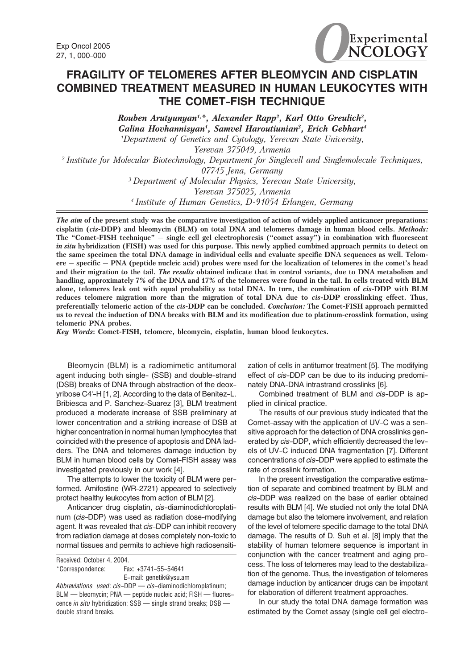

# FRAGILITY OF TELOMERES AFTER BLEOMYCIN AND CISPLATIN COMBINED TREATMENT MEASURED IN HUMAN LEUKOCYTES WITH THE COMET-FISH TECHNIQUE

Rouben Arutyunyan<sup>1,\*</sup>, Alexander Rapp<sup>2</sup>, Karl Otto Greulich<sup>2</sup>, Galina Hovhannisyan<sup>1</sup>, Samvel Haroutiunian<sup>3</sup>, Erich Gebhart<sup>4</sup> 1 Department of Genetics and Cytology, Yerevan State University, Yerevan 375049, Armenia <sup>2</sup> Institute for Molecular Biotechnology, Department for Singlecell and Singlemolecule Techniques, 07745 Jena, Germany <sup>3</sup> Department of Molecular Physics, Yerevan State University, Yerevan 375025, Armenia <sup>4</sup>Institute of Human Genetics, D-91054 Erlangen, Germany

The aim of the present study was the comparative investigation of action of widely applied anticancer preparations: cisplatin (cis-DDP) and bleomycin (BLM) on total DNA and telomeres damage in human blood cells. Methods: The "Comet-FISH technique" — single cell gel electrophoresis ("comet assay") in combination with fluorescent in situ hybridization (FISH) was used for this purpose. This newly applied combined approach permits to detect on the same specimen the total DNA damage in individual cells and evaluate specific DNA sequences as well. Telomere — specific — PNA (peptide nucleic acid) probes were used for the localization of telomeres in the comet's head and their migration to the tail. The results obtained indicate that in control variants, due to DNA metabolism and handling, approximately 7% of the DNA and 17% of the telomeres were found in the tail. In cells treated with BLM alone, telomeres leak out with equal probability as total DNA. In turn, the combination of cis-DDP with BLM reduces telomere migration more than the migration of total DNA due to cis-DDP crosslinking effect. Thus, preferentially telomeric action of the cis-DDP can be concluded. Conclusion: The Comet-FISH approach permitted us to reveal the induction of DNA breaks with BLM and its modification due to platinum-crosslink formation, using telomeric PNA probes.

Key Words: Comet-FISH, telomere, bleomycin, cisplatin, human blood leukocytes.

Bleomycin (BLM) is a radiomimetic antitumoral agent inducing both single- (SSB) and double-strand (DSB) breaks of DNA through abstraction of the deoxyribose C4'-H [1, 2]. According to the data of Benitez-L. Bribiesca and P. Sanchez-Suarez [3], BLM treatment produced a moderate increase of SSB preliminary at lower concentration and a striking increase of DSB at higher concentration in normal human lymphocytes that coincided with the presence of apoptosis and DNA ladders. The DNA and telomeres damage induction by BLM in human blood cells by Comet-FISH assay was investigated previously in our work [4].

The attempts to lower the toxicity of BLM were performed. Amifostine (WR-2721) appeared to selectively protect healthy leukocytes from action of BLM [2].

Anticancer drug cisplatin, cis-diaminodichloroplatinum (cis-DDP) was used as radiation dose-modifying agent. It was revealed that *cis*-DDP can inhibit recovery from radiation damage at doses completely non-toxic to normal tissues and permits to achieve high radiosensiti-

\*Correspondence: Fax: +3741-55-54641 E-mail: genetik@ysu.am Abbreviations used: cis-DDP - cis-diaminodichloroplatinum; BLM — bleomycin; PNA — peptide nucleic acid; FISH — fluores-

cence in situ hybridization; SSB - single strand breaks; DSB double strand breaks.

zation of cells in antitumor treatment [5]. The modifying effect of cis-DDP can be due to its inducing predominately DNA-DNA intrastrand crosslinks [6].

Combined treatment of BLM and cis-DDP is applied in clinical practice.

The results of our previous study indicated that the Comet-assay with the application of UV-C was a sensitive approach for the detection of DNA crosslinks generated by cis-DDP, which efficiently decreased the levels of UV-C induced DNA fragmentation [7]. Different concentrations of cis-DDP were applied to estimate the rate of crosslink formation.

In the present investigation the comparative estimation of separate and combined treatment by BLM and cis-DDP was realized on the base of earlier obtained results with BLM [4]. We studied not only the total DNA damage but also the telomere involvement, and relation of the level of telomere specific damage to the total DNA damage. The results of D. Suh et al. [8] imply that the stability of human telomere sequence is important in conjunction with the cancer treatment and aging process. The loss of telomeres may lead to the destabilization of the genome. Thus, the investigation of telomeres damage induction by anticancer drugs can be impotant for elaboration of different treatment approaches.

In our study the total DNA damage formation was estimated by the Comet assay (single cell gel electro-

Received: October 4, 2004.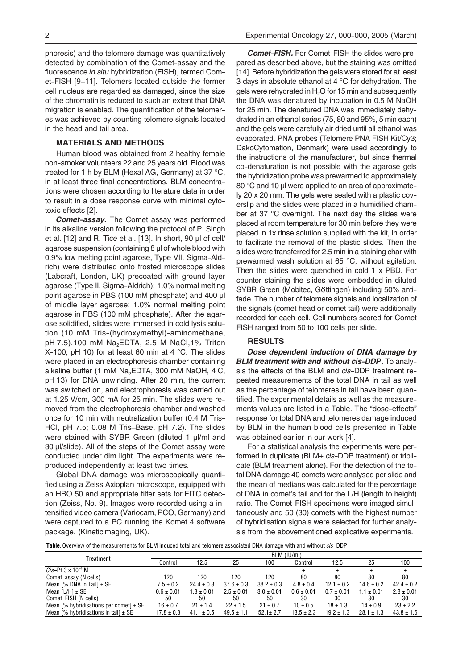phoresis) and the telomere damage was quantitatively detected by combination of the Comet-assay and the fluorescence in situ hybridization (FISH), termed Comet-FISH [9–11]. Telomers located outside the former cell nucleus are regarded as damaged, since the size of the chromatin is reduced to such an extent that DNA migration is enabled. The quantification of the telomeres was achieved by counting telomere signals located in the head and tail area.

### MATERIALS AND METHODS

Human blood was obtained from 2 healthy female non-smoker volunteers 22 and 25 years old. Blood was treated for 1 h by BLM (Hexal AG, Germany) at 37 °C, in at least three final concentrations. BLM concentrations were chosen according to literature data in order to result in a dose response curve with minimal cytotoxic effects [2].

**Comet-assay.** The Comet assay was performed in its alkaline version following the protocol of P. Singh et al. [12] and R. Tice et al. [13]. In short, 90 µl of cell/ agarose suspension (containing 8 µl of whole blood with 0.9% low melting point agarose, Type VII, Sigma-Aldrich) were distributed onto frosted microscope slides (Labcraft, London, UK) precoated with ground layer agarose (Type II, Sigma-Aldrich): 1.0% normal melting point agarose in PBS (100 mM phosphate) and 400 µl of middle layer agarose: 1.0% normal melting point agarose in PBS (100 mM phosphate). After the agarose solidified, slides were immersed in cold lysis solution (10 mM Tris-(hydroxymethyl)-aminomethane, pH 7.5).100 mM Na<sub>2</sub>EDTA, 2.5 M NaCl, 1% Triton X-100, pH 10) for at least 60 min at 4  $^{\circ}$ C. The slides were placed in an electrophoresis chamber containing alkaline buffer (1 mM Na<sub>2</sub>EDTA, 300 mM NaOH, 4 C, pH 13) for DNA unwinding. After 20 min, the current was switched on, and electrophoresis was carried out at 1.25 V/cm, 300 mA for 25 min. The slides were removed from the electrophoresis chamber and washed once for 10 min with neutralization buffer (0.4 M Tris-HCl, pH 7.5; 0.08 M Tris–Base, pH 7.2). The slides were stained with SYBR-Green (diluted 1 µl/ml and 30 µl/slide). All of the steps of the Comet assay were conducted under dim light. The experiments were reproduced independently at least two times.

Global DNA damage was microscopically quantified using a Zeiss Axioplan microscope, equipped with an HBO 50 and appropriate filter sets for FITC detection (Zeiss, No. 9). Images were recorded using a intensified video camera (Variocam, PCO, Germany) and were captured to a PC running the Komet 4 software package. (Kineticimaging, UK).

Comet-FISH. For Comet-FISH the slides were prepared as described above, but the staining was omitted [14]. Before hybridization the gels were stored for at least 3 days in absolute ethanol at 4 °C for dehydration. The gels were rehydrated in  $H<sub>2</sub>O$  for 15 min and subsequently the DNA was denatured by incubation in 0.5 M NaOH for 25 min. The denatured DNA was immediately dehydrated in an ethanol series (75, 80 and 95%, 5 min each) and the gels were carefully air dried until all ethanol was evaporated. PNA probes (Telomere PNA FISH Kit/Cy3; DakoCytomation, Denmark) were used accordingly to the instructions of the manufacturer, but since thermal co-denaturation is not possible with the agarose gels the hybridization probe was prewarmed to approximately 80 °C and 10 µl were applied to an area of approximately 20 x 20 mm. The gels were sealed with a plastic coverslip and the slides were placed in a humidified chamber at 37 °C overnight. The next day the slides were placed at room temperature for 30 min before they were placed in 1x rinse solution supplied with the kit, in order to facilitate the removal of the plastic slides. Then the slides were transferred for 2.5 min in a staining char with prewarmed wash solution at 65 °C, without agitation. Then the slides were quenched in cold 1 x PBD. For counter staining the slides were embedded in diluted SYBR Green (Mobitec, Göttingen) including 50% antifade. The number of telomere signals and localization of the signals (comet head or comet tail) were additionally recorded for each cell. Cell numbers scored for Comet FISH ranged from 50 to 100 cells per slide.

### RESULTS

Dose dependent induction of DNA damage by BLM treatment with and without cis-DDP. To analysis the effects of the BLM and *cis*-DDP treatment repeated measurements of the total DNA in tail as well as the percentage of telomeres in tail have been quantified. The experimental details as well as the measurements values are listed in a Table. The "dose-effects" response for total DNA and telomeres damage induced by BLM in the human blood cells presented in Table was obtained earlier in our work [4].

For a statistical analysis the experiments were performed in duplicate (BLM+ cis-DDP treatment) or triplicate (BLM treatment alone). For the detection of the total DNA damage 40 comets were analysed per slide and the mean of medians was calculated for the percentage of DNA in comet's tail and for the L/H (length to height) ratio. The Comet-FISH specimens were imaged simultaneously and 50 (30) comets with the highest number of hybridisation signals were selected for further analysis from the abovementioned explicative experiments.

Table. Overview of the measurements for BLM induced total and telomere associated DNA damage with and without cis-DDP

| Treatment                                          | BLM (IU/ml)    |                |                |                |                |                |                |                |
|----------------------------------------------------|----------------|----------------|----------------|----------------|----------------|----------------|----------------|----------------|
|                                                    | Control        | 12.5           | 25             | 100            | Control        | 12.5           | 25             | 100            |
| Cis-Pt $3 \times 10^{-4}$ M                        |                |                |                |                |                |                |                |                |
| Comet-assay (N cells)                              | 120            | 120            | 120            | 120            | 80             | 80             | 80             | 80             |
| Mean [% DNA in Tail] $\pm$ SE                      | $7.5 \pm 0.2$  | $24.4 \pm 0.3$ | $37.6 \pm 0.3$ | $38.2 \pm 0.3$ | $4.8 \pm 0.4$  | $12.1 \pm 0.2$ | $14.6 \pm 0.2$ | $42.4 \pm 0.2$ |
| Mean $[L/H]$ $\pm$ SE                              | $0.6 \pm 0.01$ | $1.8 \pm 0.01$ | $2.5 \pm 0.01$ | $3.0 \pm 0.01$ | $0.6 \pm 0.01$ | $0.7 \pm 0.01$ | $1.1 \pm 0.01$ | $2.8 \pm 0.01$ |
| Comet-FISH (N cells)                               | 50             | 50             | 50             | 50             | 30             | 30             | 30             | 30             |
| Mean $\lceil\%$ hybridisations per comet] $\pm$ SE | $16 \pm 0.7$   | $21 \pm 1.4$   | $22 \pm 1.5$   | $21 \pm 0.7$   | $10 \pm 0.5$   | $18 \pm 1.3$   | $14 \pm 0.9$   | $23 \pm 2.2$   |
| Mean [% hybridisations in tail] $\pm$ SE           | $17.8 \pm 0.8$ | $41.1 \pm 0.5$ | $49.5 \pm 1.1$ | $52.1 \pm 2.7$ | $13.5 \pm 2.3$ | $19.2 \pm 1.3$ | $28.1 \pm 1.3$ | $43.8 \pm 1.6$ |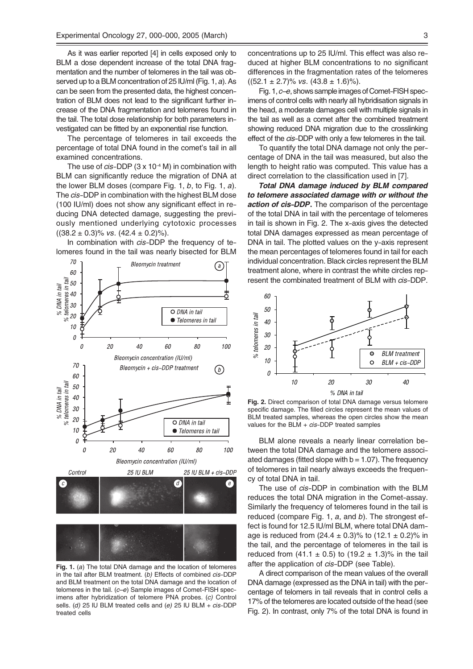As it was earlier reported [4] in cells exposed only to BLM a dose dependent increase of the total DNA fragmentation and the number of telomeres in the tail was observed up to a BLM concentration of 25 IU/ml (Fig. 1, a). As can be seen from the presented data, the highest concentration of BLM does not lead to the significant further increase of the DNA fragmentation and telomeres found in the tail. The total dose relationship for both parameters investigated can be fitted by an exponential rise function.

The percentage of telomeres in tail exceeds the percentage of total DNA found in the comet's tail in all examined concentrations.

The use of  $cis$ -DDP (3 x 10<sup>-4</sup> M) in combination with BLM can significantly reduce the migration of DNA at the lower BLM doses (compare Fig. 1,  $b$ , to Fig. 1,  $a$ ). The cis-DDP in combination with the highest BLM dose (100 IU/ml) does not show any significant effect in reducing DNA detected damage, suggesting the previously mentioned underlying cytotoxic processes  $((38.2 \pm 0.3)\% \text{ vs. } (42.4 \pm 0.2)\%).$ 

In combination with *cis*-DDP the frequency of telomeres found in the tail was nearly bisected for BLM



Fig. 1. (a) The total DNA damage and the location of telomeres in the tail after BLM treatment. (b) Effects of combined cis-DDP and BLM treatment on the total DNA damage and the location of telomeres in the tail. (c-e) Sample images of Comet-FISH specimens after hybridization of telomere PNA probes. (c) Control sells. (d) 25 IU BLM treated cells and (e) 25 IU BLM +  $cis$ -DDP treated cells

concentrations up to 25 IU/ml. This effect was also reduced at higher BLM concentrations to no significant differences in the fragmentation rates of the telomeres  $((52.1 \pm 2.7)\% \text{ vs. } (43.8 \pm 1.6)\%).$ 

Fig. 1, c–e, shows sample images of Comet-FISH specimens of control cells with nearly all hybridisation signals in the head, a moderate damages cell with multiple signals in the tail as well as a comet after the combined treatment showing reduced DNA migration due to the crosslinking effect of the cis-DDP with only a few telomeres in the tail.

To quantify the total DNA damage not only the percentage of DNA in the tail was measured, but also the length to height ratio was computed. This value has a direct correlation to the classification used in [7].

Total DNA damage induced by BLM compared to telomere associated damage with or without the action of cis-DDP. The comparison of the percentage of the total DNA in tail with the percentage of telomeres in tail is shown in Fig. 2. The x-axis gives the detected total DNA damages expressed as mean percentage of DNA in tail. The plotted values on the y-axis represent the mean percentages of telomeres found in tail for each individual concentration. Black circles represent the BLM treatment alone, where in contrast the white circles represent the combinated treatment of BLM with cis-DDP.



Fig. 2. Direct comparison of total DNA damage versus telomere specific damage. The filled circles represent the mean values of BLM treated samples, whereas the open circles show the mean values for the  $BLM + cis-DDP$  treated samples

BLM alone reveals a nearly linear correlation between the total DNA damage and the telomere associated damages (fitted slope with  $b = 1.07$ ). The frequency of telomeres in tail nearly always exceeds the frequency of total DNA in tail.

The use of *cis*-DDP in combination with the BLM reduces the total DNA migration in the Comet-assay. Similarly the frequency of telomeres found in the tail is reduced (compare Fig. 1,  $a$ , and  $b$ ). The strongest effect is found for 12.5 IU/ml BLM, where total DNA damage is reduced from  $(24.4 \pm 0.3)$ % to  $(12.1 \pm 0.2)$ % in the tail, and the percentage of telomeres in the tail is reduced from  $(41.1 \pm 0.5)$  to  $(19.2 \pm 1.3)$ % in the tail after the application of *cis*-DDP (see Table).

A direct comparison of the mean values of the overall DNA damage (expressed as the DNA in tail) with the percentage of telomers in tail reveals that in control cells a 17% of the telomeres are located outside of the head (see Fig. 2). In contrast, only 7% of the total DNA is found in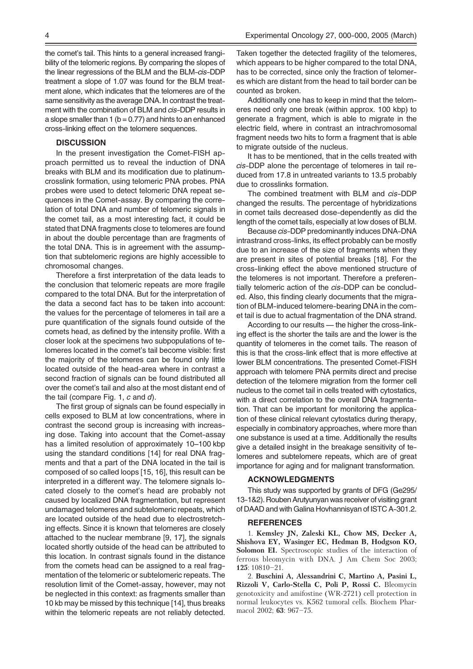the comet's tail. This hints to a general increased frangibility of the telomeric regions. By comparing the slopes of the linear regressions of the BLM and the BLM-cis-DDP treatment a slope of 1.07 was found for the BLM treatment alone, which indicates that the telomeres are of the same sensitivity as the average DNA. In contrast the treatment with the combination of BLM and *cis-DDP* results in a slope smaller than 1 ( $b = 0.77$ ) and hints to an enhanced cross-linking effect on the telomere sequences.

## **DISCUSSION**

In the present investigation the Comet-FISH approach permitted us to reveal the induction of DNA breaks with BLM and its modification due to platinumcrosslink formation, using telomeric PNA probes. PNA probes were used to detect telomeric DNA repeat sequences in the Comet-assay. By comparing the correlation of total DNA and number of telomeric signals in the comet tail, as a most interesting fact, it could be stated that DNA fragments close to telomeres are found in about the double percentage than are fragments of the total DNA. This is in agreement with the assumption that subtelomeric regions are highly accessible to chromosomal changes.

Therefore a first interpretation of the data leads to the conclusion that telomeric repeats are more fragile compared to the total DNA. But for the interpretation of the data a second fact has to be taken into account: the values for the percentage of telomeres in tail are a pure quantification of the signals found outside of the comets head, as defined by the intensity profile. With a closer look at the specimens two subpopulations of telomeres located in the comet's tail become visible: first the majority of the telomeres can be found only little located outside of the head-area where in contrast a second fraction of signals can be found distributed all over the comet's tail and also at the most distant end of the tail (compare Fig. 1,  $c$  and  $d$ ).

The first group of signals can be found especially in cells exposed to BLM at low concentrations, where in contrast the second group is increasing with increasing dose. Taking into account that the Comet-assay has a limited resolution of approximately 10–100 kbp using the standard conditions [14] for real DNA fragments and that a part of the DNA located in the tail is composed of so called loops [15, 16], this result can be interpreted in a different way. The telomere signals located closely to the comet's head are probably not caused by localized DNA fragmentation, but represent undamaged telomeres and subtelomeric repeats, which are located outside of the head due to electrostretching effects. Since it is known that telomeres are closely attached to the nuclear membrane [9, 17], the signals located shortly outside of the head can be attributed to this location. In contrast signals found in the distance from the comets head can be assigned to a real fragmentation of the telomeric or subtelomeric repeats. The resolution limit of the Comet-assay, however, may not be neglected in this context: as fragments smaller than 10 kb may be missed by this technique [14], thus breaks within the telomeric repeats are not reliably detected.

Taken together the detected fragility of the telomeres, which appears to be higher compared to the total DNA, has to be corrected, since only the fraction of telomeres which are distant from the head to tail border can be counted as broken.

Additionally one has to keep in mind that the telomeres need only one break (within approx. 100 kbp) to generate a fragment, which is able to migrate in the electric field, where in contrast an intrachromosomal fragment needs two hits to form a fragment that is able to migrate outside of the nucleus.

It has to be mentioned, that in the cells treated with cis-DDP alone the percentage of telomeres in tail reduced from 17.8 in untreated variants to 13.5 probably due to crosslinks formation.

The combined treatment with BLM and cis-DDP changed the results. The percentage of hybridizations in comet tails decreased dose-dependently as did the length of the comet tails, especially at low doses of BLM.

Because cis-DDP predominantly induces DNA-DNA intrastrand cross-links, its effect probably can be mostly due to an increase of the size of fragments when they are present in sites of potential breaks [18]. For the cross-linking effect the above mentioned structure of the telomeres is not important. Therefore a preferentially telomeric action of the cis-DDP can be concluded. Also, this finding clearly documents that the migration of BLM-induced telomere-bearing DNA in the comet tail is due to actual fragmentation of the DNA strand.

According to our results — the higher the cross-linking effect is the shorter the tails are and the lower is the quantity of telomeres in the comet tails. The reason of this is that the cross-link effect that is more effective at lower BLM concentrations. The presented Comet-FISH approach with telomere PNA permits direct and precise detection of the telomere migration from the former cell nucleus to the comet tail in cells treated with cytostatics, with a direct correlation to the overall DNA fragmentation. That can be important for monitoring the application of these clinical relevant cytostatics during therapy, especially in combinatory approaches, where more than one substance is used at a time. Additionally the results give a detailed insight in the breakage sensitivity of telomeres and subtelomere repeats, which are of great importance for aging and for malignant transformation.

### ACKNOWLEDGMENTS

This study was supported by grants of DFG (Ge295/ 13-1&2). Rouben Arutyunyan was receiver of visiting grant of DAAD and with Galina Hovhannisyan of ISTC A-301.2.

#### REFERENCES

1. Kemsley JN, Zaleski KL, Chow MS, Decker A, Shishova EY, Wasinger EC, Hedman B, Hodgson KO, Solomon EI. Spectroscopic studies of the interaction of ferrous bleomycin with DNA. J Am Chem Soc 2003; 125: 10810–21.

2. Buschini A, Alessandrini C, Martino A, Pasini L, Rizzoli V, Carlo-Stella C, Poli P, Rossi C. Bleomycin genotoxicity and amifostine (WR-2721) cell protection in normal leukocytes vs. K562 tumoral cells. Biochem Pharmacol 2002; 63: 967–75.